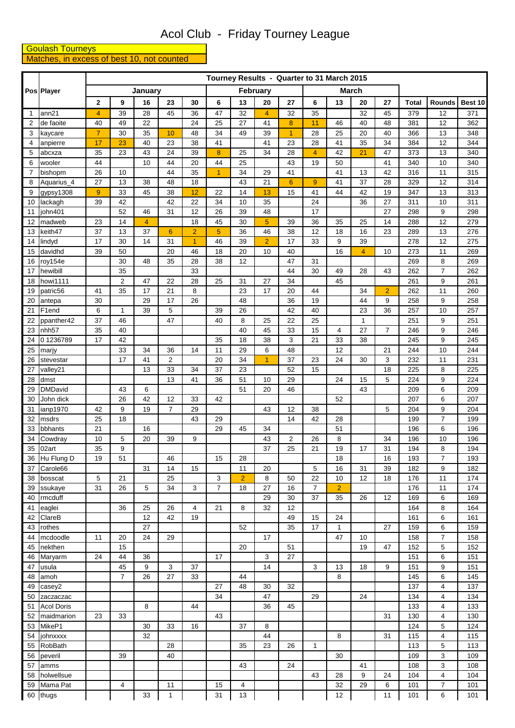## Acol Club - Friday Tourney League

## **Coulash Tourneys**<br>Matches, in excess of best 10, not counted

|                | Pos Player           |                |                |                |                      |                |                | Tourney Results - Quarter to 31 March 2015 |                     |                      |                      |                |                |                |              |                     |            |
|----------------|----------------------|----------------|----------------|----------------|----------------------|----------------|----------------|--------------------------------------------|---------------------|----------------------|----------------------|----------------|----------------|----------------|--------------|---------------------|------------|
|                |                      |                |                | January        |                      |                | February       |                                            |                     |                      |                      |                | March          |                |              |                     |            |
|                |                      | $\mathbf 2$    | 9              | 16             | 23                   | 30             | 6              | 13                                         | 20                  | 27                   | 6                    | 13             | 20             | 27             | <b>Total</b> | Rounds              | Best 10    |
| 1              | ann21                | 4              | 39             | 28             | 45                   | 36             | 47             | 32                                         | $\overline{4}$      | 32                   | 35                   |                | 32             | 45             | 379          | 12                  | 371        |
| 2              | de faoite            | 40             | 49             | 22             |                      | 24             | 25             | 27                                         | 41                  | 8                    | 11                   | 46             | 40             | 48             | 381          | 12                  | 362        |
| 3              | kaycare              | $\overline{7}$ | 30             | 35             | 10                   | 48             | 34             | 49                                         | 39                  | $\overline{1}$       | 28                   | 25             | 20             | 40             | 366          | 13                  | 348        |
| $\overline{4}$ | anpierre             | 17             | 23             | 40             | 23                   | 38             | 41             |                                            | 41                  | 23                   | 28                   | 41             | 35             | 34             | 384          | 12                  | 344        |
| 5              | abcxza               | 35             | 23             | 43             | 24                   | 39             | 8              | 25                                         | 34                  | 28                   | $\overline{4}$       | 42             | 21             | 47             | 373          | 13                  | 340        |
| 6              | wooler               | 44             |                | 10             | 44                   | 20             | 44             | 25                                         |                     | 43                   | 19                   | 50             |                | 41             | 340          | 10                  | 340        |
| $\overline{7}$ | bishopm              | 26             | 10             |                | 44                   | 35             | $\overline{1}$ | 34                                         | 29                  | 41                   |                      | 41             | 13             | 42             | 316          | 11                  | 315        |
| 8              | Aquarius_4           | 27<br>9        | 13<br>33       | 38<br>45       | 48<br>38             | 18<br>12       | 22             | 43<br>14                                   | 21<br>13            | $6\phantom{a}$<br>15 | $\overline{9}$<br>41 | 41<br>44       | 37<br>42       | 28<br>19       | 329<br>347   | 12<br>13            | 314<br>313 |
| 9<br>10        | gypsy1308<br>lackagh | 39             | 42             |                | 42                   | 22             | 34             | 10                                         | 35                  |                      | 24                   |                | 36             | 27             | 311          | 10                  | 311        |
| 11             | john401              |                | 52             | 46             | 31                   | 12             | 26             | 39                                         | 48                  |                      | 17                   |                |                | 27             | 298          | 9                   | 298        |
| 12             | madweb               | 23             | 14             | $\overline{4}$ |                      | 18             | 45             | 30                                         | $\overline{5}$      | 39                   | 36                   | 35             | 25             | 14             | 288          | 12                  | 279        |
| 13             | keith47              | 37             | 13             | 37             | $6\phantom{1}6$      | $\overline{2}$ | $\overline{5}$ | 36                                         | 46                  | 38                   | 12                   | 18             | 16             | 23             | 289          | 13                  | 276        |
| 14             | lindyd               | 17             | 30             | 14             | 31                   | 1              | 46             | 39                                         | $\overline{2}$      | 17                   | 33                   | 9              | 39             |                | 278          | 12                  | 275        |
| 15             | davidhd              | 39             | 50             |                | 20                   | 46             | 18             | 20                                         | 10                  | 40                   |                      | 16             | $\overline{4}$ | 10             | 273          | 11                  | 269        |
| 16             | roy154e              |                | 30             | 48             | 35                   | 28             | 38             | 12                                         |                     | 47                   | 31                   |                |                |                | 269          | 8                   | 269        |
| 17             | hewibill             |                | 35             |                |                      | 33             |                |                                            |                     | 44                   | 30                   | 49             | 28             | 43             | 262          | $\overline{7}$      | 262        |
| 18             | howi1111             |                | $\overline{2}$ | 47             | 22                   | 28             | 25             | 31                                         | 27                  | 34                   |                      | 45             |                |                | 261          | 9                   | 261        |
| 19             | patric56             | 41             | 35             | 17             | 21                   | 8              |                | 23                                         | 17                  | 20                   | 44                   |                | 34             | $\overline{2}$ | 262          | 11                  | 260        |
| 20             | antepa               | 30             |                | 29             | 17                   | 26             |                | 48                                         |                     | 36                   | 19                   |                | 44             | 9              | 258          | 9                   | 258        |
| 21             | F <sub>1</sub> end   | 6              | $\mathbf{1}$   | 39             | 5                    |                | 39             | 26                                         |                     | 42                   | 40                   |                | 23             | 36             | 257          | 10                  | 257        |
| 22             | ppanther42           | 37             | 46             |                | 47                   |                | 40             | 8                                          | 25                  | 22                   | 25                   |                | $\mathbf{1}$   |                | 251          | 9                   | 251        |
| 23             | nhh <sub>57</sub>    | 35             | 40             |                |                      |                |                | 40                                         | 45                  | 33                   | 15                   | 4              | 27             | $\overline{7}$ | 246          | 9                   | 246        |
| 24             | 01236789             | 17             | 42             |                |                      |                | 35             | 18                                         | 38                  | 3                    | 21                   | 33             | 38             |                | 245          | 9                   | 245        |
| 25             | marjy                |                | 33             | 34             | 36                   | 14             | 11             | 29                                         | 6<br>$\overline{1}$ | 48                   |                      | 12             |                | 21             | 244          | 10                  | 244        |
| 26<br>27       | stevestar            |                | 17             | 41<br>13       | $\overline{2}$<br>33 | 34             | 20<br>37       | 34<br>23                                   |                     | 37<br>52             | 23<br>15             | 24             | 30             | 3<br>18        | 232<br>225   | 11<br>8             | 231<br>225 |
| 28             | valley21<br>dmst     |                |                |                | 13                   | 41             | 36             | 51                                         | 10                  | 29                   |                      | 24             | 15             | 5              | 224          | 9                   | 224        |
| 29             | <b>DMDavid</b>       |                | 43             | 6              |                      |                |                | 51                                         | 20                  | 46                   |                      |                | 43             |                | 209          | 6                   | 209        |
| 30             | John dick            |                | 26             | 42             | 12                   | 33             | 42             |                                            |                     |                      |                      | 52             |                |                | 207          | 6                   | 207        |
| 31             | ianp1970             | 42             | 9              | 19             | $\overline{7}$       | 29             |                |                                            | 43                  | 12                   | 38                   |                |                | 5              | 204          | 9                   | 204        |
| 32             | msdrs                | 25             | 18             |                |                      | 43             | 29             |                                            |                     | 14                   | 42                   | 28             |                |                | 199          | $\overline{7}$      | 199        |
| 33             | bbhants              | 21             |                | 16             |                      |                | 29             | 45                                         | 34                  |                      |                      | 51             |                |                | 196          | 6                   | 196        |
| 34             | Cowdray              | $10$           | 5              | 20             | 39                   | 9              |                |                                            | 43                  | 2                    | 26                   | 8              |                | 34             | 196          | 10                  | 196        |
| 35             | 02art                | 35             | 9              |                |                      |                |                |                                            | 37                  | 25                   | 21                   | 19             | 17             | 31             | 194          | 8                   | 194        |
| 36             | Hu Flung D           | 19             | 51             |                | 46                   |                | 15             | 28                                         |                     |                      |                      | 18             |                | 16             | 193          | $\overline{7}$      | 193        |
| 37             | Carole66             |                |                | 31             | 14                   | 15             |                | 11                                         | 20                  |                      | 5                    | 16             | 31             | 39             | 182          | 9                   | 182        |
| 38             | bosscat              | 5              | 21             |                | 25                   |                | 3              | $\overline{2}$                             | 8                   | 50                   | 22                   | 10             | 12             | 18             | 176          | 11                  | 174        |
| 39             | ssukaye              | 31             | 26             | 5              | 34                   | 3              | $\overline{7}$ | 18                                         | 27                  | 16                   | $\overline{7}$       | $\overline{2}$ |                |                | 176          | 11                  | 174        |
| 40             | rmcduff              |                |                |                |                      |                |                |                                            | 29                  | 30                   | 37                   | 35             | 26             | 12             | 169          | 6                   | 169        |
| 41             | eaglei               |                | 36             | 25<br>12       | 26                   | 4<br>19        | 21             | 8                                          | 32                  | 12                   | 15                   | 24             |                |                | 164          | 8                   | 164        |
| 42<br>43       | ClareB<br>rothes     |                |                | 27             | 42                   |                |                | 52                                         |                     | 49<br>35             | 17                   | 1              |                | 27             | 161<br>159   | 6<br>6              | 161<br>159 |
| 44             | mcdoodle             | 11             | 20             | 24             | 29                   |                |                |                                            | 17                  |                      |                      | 47             | 10             |                | 158          | $\overline{7}$      | 158        |
| 45             | nekthen              |                | 15             |                |                      |                |                | 20                                         |                     | 51                   |                      |                | 19             | 47             | 152          | 5                   | 152        |
| 46             | Maryarm              | 24             | 44             | 36             |                      |                | 17             |                                            | 3                   | 27                   |                      |                |                |                | 151          | 6                   | 151        |
| 47             | usula                |                | 45             | 9              | 3                    | 37             |                |                                            | 14                  |                      | 3                    | 13             | 18             | 9              | 151          | 9                   | 151        |
| 48             | amoh                 |                | $\overline{7}$ | 26             | 27                   | 33             |                | 44                                         |                     |                      |                      | 8              |                |                | 145          | 6                   | 145        |
| 49             | casey2               |                |                |                |                      |                | 27             | 48                                         | 30                  | 32                   |                      |                |                |                | 137          | 4                   | 137        |
| 50             | zaczaczac            |                |                |                |                      |                | 34             |                                            | 47                  |                      | 29                   |                | 24             |                | 134          | $\overline{4}$      | 134        |
| 51             | <b>Acol Doris</b>    |                |                | 8              |                      | 44             |                |                                            | 36                  | 45                   |                      |                |                |                | 133          | $\overline{4}$      | 133        |
| 52             | maidmarion           | 23             | 33             |                |                      |                | 43             |                                            |                     |                      |                      |                |                | 31             | 130          | 4                   | 130        |
| 53             | MikeP1               |                |                | 30             | 33                   | 16             |                | 37                                         | 8                   |                      |                      |                |                |                | 124          | 5                   | 124        |
| 54             | johnxxxx             |                |                | 32             |                      |                |                |                                            | 44                  |                      |                      | 8              |                | 31             | 115          | 4                   | 115        |
| 55             | <b>RobBath</b>       |                |                |                | 28                   |                |                | 35                                         | 23                  | 26                   | $\mathbf{1}$         |                |                |                | 113          | 5                   | 113        |
| 56             | peveril              |                | 39             |                | 40                   |                |                |                                            |                     |                      |                      | 30             |                |                | 109          | 3                   | 109        |
| 57             | amms                 |                |                |                |                      |                |                | 43                                         |                     | 24                   |                      |                | 41             |                | 108          | 3                   | 108        |
| 58             | holwellsue           |                |                |                |                      |                |                |                                            |                     |                      | 43                   | 28<br>32       | 9<br>29        | 24             | 104          | 4<br>$\overline{7}$ | 104        |
| 59<br>60       | Mama Pat<br>thugs    |                | 4              | 33             | 11<br>$\mathbf{1}$   |                | 15<br>31       | 4<br>13                                    |                     |                      |                      | 12             |                | 6<br>11        | 101<br>101   | 6                   | 101<br>101 |
|                |                      |                |                |                |                      |                |                |                                            |                     |                      |                      |                |                |                |              |                     |            |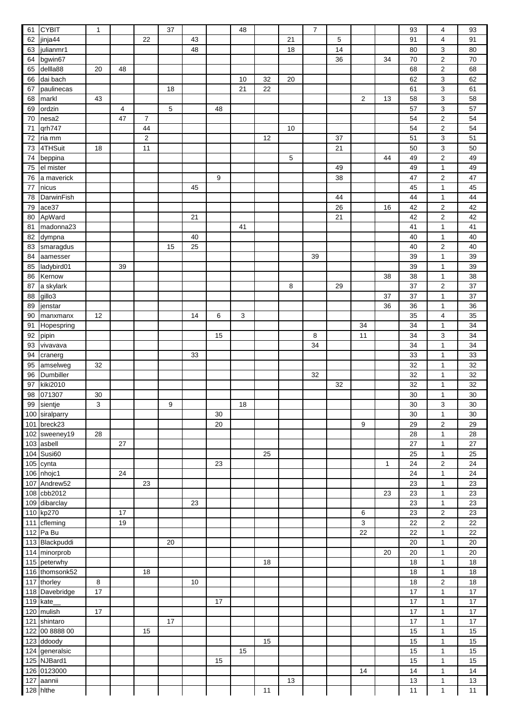| 61  | <b>CYBIT</b>   | 1  |    |                | 37 |    |    | 48 |    |    | $\overline{7}$ |    |                |              | 93 | 4                         | 93 |
|-----|----------------|----|----|----------------|----|----|----|----|----|----|----------------|----|----------------|--------------|----|---------------------------|----|
| 62  | jinja44        |    |    | 22             |    | 43 |    |    |    | 21 |                | 5  |                |              | 91 | $\overline{4}$            | 91 |
| 63  | julianmr1      |    |    |                |    | 48 |    |    |    | 18 |                | 14 |                |              | 80 | 3                         | 80 |
| 64  | bgwin67        |    |    |                |    |    |    |    |    |    |                | 36 |                | 34           | 70 | $\overline{2}$            | 70 |
| 65  | dellla88       | 20 | 48 |                |    |    |    |    |    |    |                |    |                |              | 68 | $\overline{2}$            | 68 |
| 66  | dai bach       |    |    |                |    |    |    | 10 | 32 | 20 |                |    |                |              | 62 | 3                         | 62 |
| 67  | paulinecas     |    |    |                | 18 |    |    | 21 | 22 |    |                |    |                |              | 61 | $\ensuremath{\mathsf{3}}$ | 61 |
| 68  | markl          | 43 |    |                |    |    |    |    |    |    |                |    | $\overline{2}$ | 13           | 58 | 3                         | 58 |
| 69  | ordzin         |    | 4  |                | 5  |    | 48 |    |    |    |                |    |                |              | 57 | 3                         | 57 |
| 70  | nesa2          |    | 47 | $\overline{7}$ |    |    |    |    |    |    |                |    |                |              | 54 | $\boldsymbol{2}$          | 54 |
| 71  | qrh747         |    |    | 44             |    |    |    |    |    | 10 |                |    |                |              | 54 | $\boldsymbol{2}$          | 54 |
| 72  | ria mm         |    |    | $\overline{2}$ |    |    |    |    | 12 |    |                | 37 |                |              | 51 | 3                         | 51 |
| 73  | 4THSuit        | 18 |    | 11             |    |    |    |    |    |    |                | 21 |                |              | 50 | 3                         | 50 |
| 74  | beppina        |    |    |                |    |    |    |    |    | 5  |                |    |                | 44           | 49 | $\overline{2}$            | 49 |
| 75  | el mister      |    |    |                |    |    |    |    |    |    |                | 49 |                |              | 49 | $\mathbf{1}$              | 49 |
| 76  | a maverick     |    |    |                |    |    | 9  |    |    |    |                | 38 |                |              | 47 | $\overline{2}$            | 47 |
| 77  | nicus          |    |    |                |    | 45 |    |    |    |    |                |    |                |              | 45 | $\mathbf{1}$              | 45 |
| 78  | DarwinFish     |    |    |                |    |    |    |    |    |    |                | 44 |                |              | 44 | $\mathbf{1}$              | 44 |
| 79  | ace37          |    |    |                |    |    |    |    |    |    |                | 26 |                | 16           | 42 | $\overline{2}$            | 42 |
| 80  | ApWard         |    |    |                |    | 21 |    |    |    |    |                | 21 |                |              | 42 | $\overline{2}$            | 42 |
| 81  | madonna23      |    |    |                |    |    |    | 41 |    |    |                |    |                |              | 41 | $\mathbf{1}$              | 41 |
| 82  | dympna         |    |    |                |    | 40 |    |    |    |    |                |    |                |              | 40 | $\mathbf{1}$              | 40 |
| 83  | smaragdus      |    |    |                | 15 | 25 |    |    |    |    |                |    |                |              | 40 | $\overline{2}$            | 40 |
| 84  | aamesser       |    |    |                |    |    |    |    |    |    | 39             |    |                |              | 39 | $\mathbf{1}$              | 39 |
| 85  | ladybird01     |    | 39 |                |    |    |    |    |    |    |                |    |                |              | 39 | $\mathbf{1}$              | 39 |
| 86  | Kernow         |    |    |                |    |    |    |    |    |    |                |    |                | 38           | 38 | $\mathbf{1}$              | 38 |
| 87  | a skylark      |    |    |                |    |    |    |    |    | 8  |                | 29 |                |              | 37 | $\overline{2}$            | 37 |
| 88  | gillo3         |    |    |                |    |    |    |    |    |    |                |    |                | 37           | 37 | $\mathbf{1}$              | 37 |
| 89  | jenstar        |    |    |                |    |    |    |    |    |    |                |    |                | 36           | 36 | $\mathbf{1}$              | 36 |
| 90  | manxmanx       | 12 |    |                |    | 14 | 6  | 3  |    |    |                |    |                |              | 35 | $\overline{\mathbf{4}}$   | 35 |
| 91  | Hopespring     |    |    |                |    |    |    |    |    |    |                |    | 34             |              | 34 | $\mathbf{1}$              | 34 |
| 92  | pipin          |    |    |                |    |    | 15 |    |    |    | 8              |    | 11             |              | 34 | 3                         | 34 |
| 93  | vivavava       |    |    |                |    |    |    |    |    |    | 34             |    |                |              | 34 | $\mathbf{1}$              | 34 |
| 94  | cranerg        |    |    |                |    | 33 |    |    |    |    |                |    |                |              | 33 | $\mathbf{1}$              | 33 |
| 95  | amselweg       | 32 |    |                |    |    |    |    |    |    |                |    |                |              | 32 | $\mathbf{1}$              | 32 |
| 96  | Dumbiller      |    |    |                |    |    |    |    |    |    | 32             |    |                |              | 32 | $\mathbf{1}$              | 32 |
| 97  | kiki2010       |    |    |                |    |    |    |    |    |    |                | 32 |                |              | 32 | $\mathbf{1}$              | 32 |
| 98  | 071307         | 30 |    |                |    |    |    |    |    |    |                |    |                |              | 30 | $\mathbf{1}$              | 30 |
| 99  | sientje        | 3  |    |                | 9  |    |    | 18 |    |    |                |    |                |              | 30 | 3                         | 30 |
|     | 100 siralparry |    |    |                |    |    | 30 |    |    |    |                |    |                |              | 30 | 1                         | 30 |
|     | 101 breck23    |    |    |                |    |    | 20 |    |    |    |                |    | 9              |              | 29 | $\boldsymbol{2}$          | 29 |
|     | 102 sweeney19  | 28 |    |                |    |    |    |    |    |    |                |    |                |              | 28 | $\mathbf{1}$              | 28 |
|     | 103 asbell     |    | 27 |                |    |    |    |    |    |    |                |    |                |              | 27 | $\mathbf{1}$              | 27 |
|     | 104 Susi60     |    |    |                |    |    |    |    | 25 |    |                |    |                |              | 25 | $\mathbf{1}$              | 25 |
|     | 105 cynta      |    |    |                |    |    | 23 |    |    |    |                |    |                | $\mathbf{1}$ | 24 | $\overline{2}$            | 24 |
|     | 106 nhojc1     |    | 24 |                |    |    |    |    |    |    |                |    |                |              | 24 | $\mathbf{1}$              | 24 |
| 107 | Andrew52       |    |    | 23             |    |    |    |    |    |    |                |    |                |              | 23 | $\mathbf{1}$              | 23 |
|     | 108 cbb2012    |    |    |                |    |    |    |    |    |    |                |    |                | 23           | 23 | $\mathbf{1}$              | 23 |
|     | 109 dibarclay  |    |    |                |    | 23 |    |    |    |    |                |    |                |              | 23 | $\mathbf{1}$              | 23 |
|     | 110 kp270      |    | 17 |                |    |    |    |    |    |    |                |    | 6              |              | 23 | $\overline{2}$            | 23 |
| 111 | cfleming       |    | 19 |                |    |    |    |    |    |    |                |    | 3              |              | 22 | $\boldsymbol{2}$          | 22 |
|     | 112 Pa Bu      |    |    |                |    |    |    |    |    |    |                |    | 22             |              | 22 | $\mathbf{1}$              | 22 |
|     | 113 Blackpuddi |    |    |                | 20 |    |    |    |    |    |                |    |                |              | 20 | $\mathbf{1}$              | 20 |
|     | 114 minorprob  |    |    |                |    |    |    |    |    |    |                |    |                | 20           | 20 | $\mathbf{1}$              | 20 |
|     | 115 peterwhy   |    |    |                |    |    |    |    | 18 |    |                |    |                |              | 18 | $\mathbf{1}$              | 18 |
|     | 116 thomsonk52 |    |    | 18             |    |    |    |    |    |    |                |    |                |              | 18 | $\mathbf{1}$              | 18 |
|     | 117 thorley    | 8  |    |                |    | 10 |    |    |    |    |                |    |                |              | 18 | $\overline{2}$            | 18 |
|     | 118 Davebridge | 17 |    |                |    |    |    |    |    |    |                |    |                |              | 17 | $\mathbf{1}$              | 17 |
|     | 119 kate       |    |    |                |    |    | 17 |    |    |    |                |    |                |              | 17 | $\mathbf{1}$              | 17 |
| 120 | mulish         | 17 |    |                |    |    |    |    |    |    |                |    |                |              | 17 | $\mathbf{1}$              | 17 |
| 121 | shintaro       |    |    |                | 17 |    |    |    |    |    |                |    |                |              | 17 | $\mathbf{1}$              | 17 |
|     | 122 00 8888 00 |    |    | 15             |    |    |    |    |    |    |                |    |                |              | 15 | $\mathbf{1}$              | 15 |
|     | 123 ddoody     |    |    |                |    |    |    |    | 15 |    |                |    |                |              | 15 | $\mathbf{1}$              | 15 |
|     | 124 generalsic |    |    |                |    |    |    | 15 |    |    |                |    |                |              | 15 | $\mathbf{1}$              | 15 |
|     | 125 NJBard1    |    |    |                |    |    | 15 |    |    |    |                |    |                |              | 15 | $\mathbf{1}$              | 15 |
|     | 126 0123000    |    |    |                |    |    |    |    |    |    |                |    | 14             |              | 14 | $\mathbf{1}$              | 14 |
| 127 | aannii         |    |    |                |    |    |    |    |    | 13 |                |    |                |              | 13 | $\mathbf{1}$              | 13 |
|     | 128 hithe      |    |    |                |    |    |    |    | 11 |    |                |    |                |              | 11 | $\mathbf{1}$              | 11 |